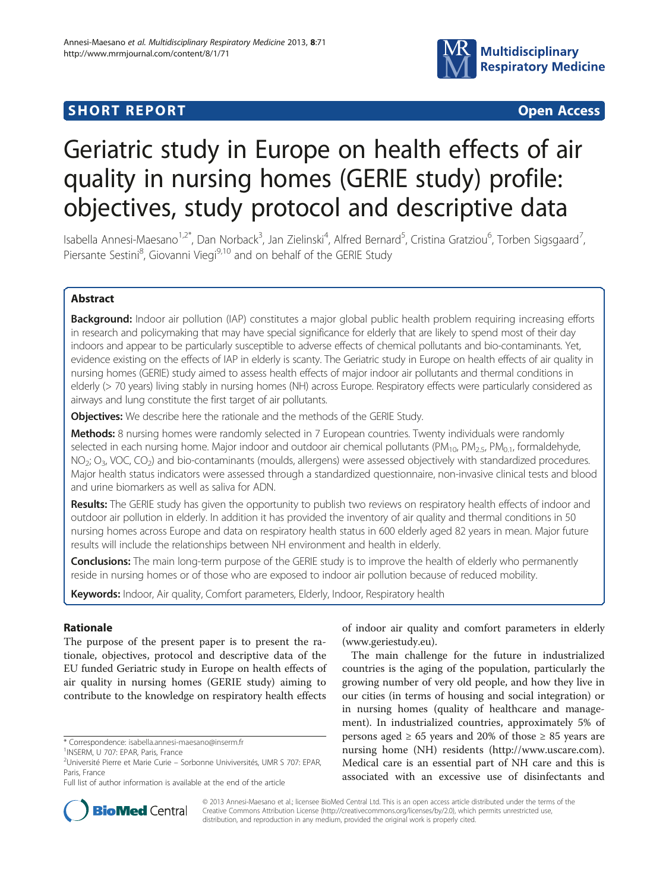# **SHORT REPORT CONTRACT CONTRACT CONTRACT CONTRACT CONTRACT CONTRACT CONTRACT CONTRACT CONTRACT CONTRACT CONTRACT CONTRACT CONTRACT CONTRACT CONTRACT CONTRACT CONTRACT CONTRACT CONTRACT CONTRACT CONTRACT CONTRACT CONTRACT C**



# Geriatric study in Europe on health effects of air quality in nursing homes (GERIE study) profile: objectives, study protocol and descriptive data

Isabella Annesi-Maesano<sup>1,2\*</sup>, Dan Norback<sup>3</sup>, Jan Zielinski<sup>4</sup>, Alfred Bernard<sup>5</sup>, Cristina Gratziou<sup>6</sup>, Torben Sigsgaard<sup>7</sup> , Piersante Sestini<sup>8</sup>, Giovanni Viegi<sup>9,10</sup> and on behalf of the GERIE Study

# Abstract

Background: Indoor air pollution (IAP) constitutes a major global public health problem requiring increasing efforts in research and policymaking that may have special significance for elderly that are likely to spend most of their day indoors and appear to be particularly susceptible to adverse effects of chemical pollutants and bio-contaminants. Yet, evidence existing on the effects of IAP in elderly is scanty. The Geriatric study in Europe on health effects of air quality in nursing homes (GERIE) study aimed to assess health effects of major indoor air pollutants and thermal conditions in elderly (> 70 years) living stably in nursing homes (NH) across Europe. Respiratory effects were particularly considered as airways and lung constitute the first target of air pollutants.

Objectives: We describe here the rationale and the methods of the GERIE Study.

Methods: 8 nursing homes were randomly selected in 7 European countries. Twenty individuals were randomly selected in each nursing home. Major indoor and outdoor air chemical pollutants ( $PM_{10}$ ,  $PM_{2.5}$ ,  $PM_{0.1}$ , formaldehyde, NO<sub>2</sub>; O<sub>3</sub>, VOC, CO<sub>2</sub>) and bio-contaminants (moulds, allergens) were assessed objectively with standardized procedures. Major health status indicators were assessed through a standardized questionnaire, non-invasive clinical tests and blood and urine biomarkers as well as saliva for ADN.

Results: The GERIE study has given the opportunity to publish two reviews on respiratory health effects of indoor and outdoor air pollution in elderly. In addition it has provided the inventory of air quality and thermal conditions in 50 nursing homes across Europe and data on respiratory health status in 600 elderly aged 82 years in mean. Major future results will include the relationships between NH environment and health in elderly.

Conclusions: The main long-term purpose of the GERIE study is to improve the health of elderly who permanently reside in nursing homes or of those who are exposed to indoor air pollution because of reduced mobility.

Keywords: Indoor, Air quality, Comfort parameters, Elderly, Indoor, Respiratory health

# Rationale

The purpose of the present paper is to present the rationale, objectives, protocol and descriptive data of the EU funded Geriatric study in Europe on health effects of air quality in nursing homes (GERIE study) aiming to contribute to the knowledge on respiratory health effects

of indoor air quality and comfort parameters in elderly ([www.geriestudy.eu](http://www.geriestudy.eu)).

The main challenge for the future in industrialized countries is the aging of the population, particularly the growing number of very old people, and how they live in our cities (in terms of housing and social integration) or in nursing homes (quality of healthcare and management). In industrialized countries, approximately 5% of persons aged  $\geq 65$  years and 20% of those  $\geq 85$  years are nursing home (NH) residents (<http://www.uscare.com>). Medical care is an essential part of NH care and this is associated with an excessive use of disinfectants and



© 2013 Annesi-Maesano et al.; licensee BioMed Central Ltd. This is an open access article distributed under the terms of the Creative Commons Attribution License (<http://creativecommons.org/licenses/by/2.0>), which permits unrestricted use, distribution, and reproduction in any medium, provided the original work is properly cited.

<sup>\*</sup> Correspondence: [isabella.annesi-maesano@inserm.fr](mailto:isabella.annesi-maesano@inserm.fr) <sup>1</sup>

<sup>&</sup>lt;sup>1</sup>INSERM, U 707: EPAR, Paris, France

<sup>2</sup> Université Pierre et Marie Curie – Sorbonne Univiversités, UMR S 707: EPAR, Paris, France

Full list of author information is available at the end of the article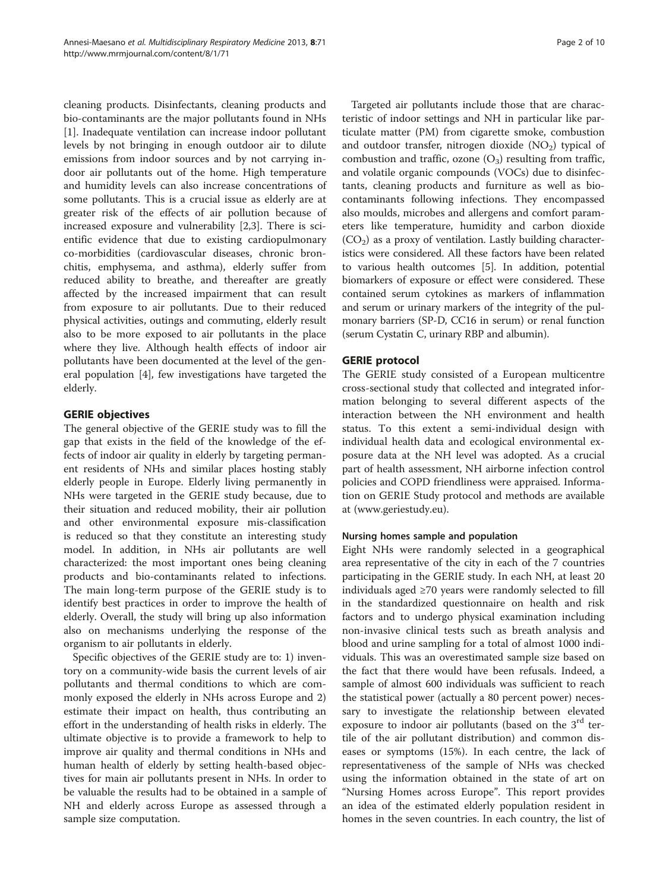cleaning products. Disinfectants, cleaning products and bio-contaminants are the major pollutants found in NHs [[1\]](#page-9-0). Inadequate ventilation can increase indoor pollutant levels by not bringing in enough outdoor air to dilute emissions from indoor sources and by not carrying indoor air pollutants out of the home. High temperature and humidity levels can also increase concentrations of some pollutants. This is a crucial issue as elderly are at greater risk of the effects of air pollution because of increased exposure and vulnerability [\[2](#page-9-0),[3](#page-9-0)]. There is scientific evidence that due to existing cardiopulmonary co-morbidities (cardiovascular diseases, chronic bronchitis, emphysema, and asthma), elderly suffer from reduced ability to breathe, and thereafter are greatly affected by the increased impairment that can result from exposure to air pollutants. Due to their reduced physical activities, outings and commuting, elderly result also to be more exposed to air pollutants in the place where they live. Although health effects of indoor air pollutants have been documented at the level of the general population [[4\]](#page-9-0), few investigations have targeted the elderly.

# GERIE objectives

The general objective of the GERIE study was to fill the gap that exists in the field of the knowledge of the effects of indoor air quality in elderly by targeting permanent residents of NHs and similar places hosting stably elderly people in Europe. Elderly living permanently in NHs were targeted in the GERIE study because, due to their situation and reduced mobility, their air pollution and other environmental exposure mis-classification is reduced so that they constitute an interesting study model. In addition, in NHs air pollutants are well characterized: the most important ones being cleaning products and bio-contaminants related to infections. The main long-term purpose of the GERIE study is to identify best practices in order to improve the health of elderly. Overall, the study will bring up also information also on mechanisms underlying the response of the organism to air pollutants in elderly.

Specific objectives of the GERIE study are to: 1) inventory on a community-wide basis the current levels of air pollutants and thermal conditions to which are commonly exposed the elderly in NHs across Europe and 2) estimate their impact on health, thus contributing an effort in the understanding of health risks in elderly. The ultimate objective is to provide a framework to help to improve air quality and thermal conditions in NHs and human health of elderly by setting health-based objectives for main air pollutants present in NHs. In order to be valuable the results had to be obtained in a sample of NH and elderly across Europe as assessed through a sample size computation.

Targeted air pollutants include those that are characteristic of indoor settings and NH in particular like particulate matter (PM) from cigarette smoke, combustion and outdoor transfer, nitrogen dioxide  $(NO<sub>2</sub>)$  typical of combustion and traffic, ozone  $(O_3)$  resulting from traffic, and volatile organic compounds (VOCs) due to disinfectants, cleaning products and furniture as well as biocontaminants following infections. They encompassed also moulds, microbes and allergens and comfort parameters like temperature, humidity and carbon dioxide  $(CO<sub>2</sub>)$  as a proxy of ventilation. Lastly building characteristics were considered. All these factors have been related to various health outcomes [[5\]](#page-9-0). In addition, potential biomarkers of exposure or effect were considered. These contained serum cytokines as markers of inflammation and serum or urinary markers of the integrity of the pulmonary barriers (SP-D, CC16 in serum) or renal function (serum Cystatin C, urinary RBP and albumin).

# GERIE protocol

The GERIE study consisted of a European multicentre cross-sectional study that collected and integrated information belonging to several different aspects of the interaction between the NH environment and health status. To this extent a semi-individual design with individual health data and ecological environmental exposure data at the NH level was adopted. As a crucial part of health assessment, NH airborne infection control policies and COPD friendliness were appraised. Information on GERIE Study protocol and methods are available at [\(www.geriestudy.eu\)](http://www.geriestudy.eu).

# Nursing homes sample and population

Eight NHs were randomly selected in a geographical area representative of the city in each of the 7 countries participating in the GERIE study. In each NH, at least 20 individuals aged ≥70 years were randomly selected to fill in the standardized questionnaire on health and risk factors and to undergo physical examination including non-invasive clinical tests such as breath analysis and blood and urine sampling for a total of almost 1000 individuals. This was an overestimated sample size based on the fact that there would have been refusals. Indeed, a sample of almost 600 individuals was sufficient to reach the statistical power (actually a 80 percent power) necessary to investigate the relationship between elevated exposure to indoor air pollutants (based on the  $3<sup>rd</sup>$  tertile of the air pollutant distribution) and common diseases or symptoms (15%). In each centre, the lack of representativeness of the sample of NHs was checked using the information obtained in the state of art on "Nursing Homes across Europe". This report provides an idea of the estimated elderly population resident in homes in the seven countries. In each country, the list of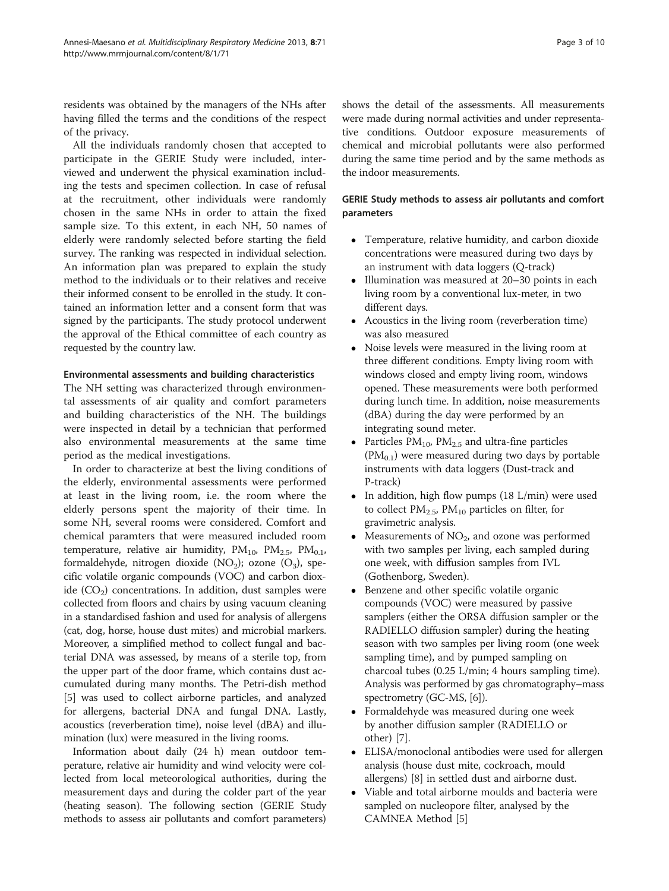residents was obtained by the managers of the NHs after having filled the terms and the conditions of the respect of the privacy.

All the individuals randomly chosen that accepted to participate in the GERIE Study were included, interviewed and underwent the physical examination including the tests and specimen collection. In case of refusal at the recruitment, other individuals were randomly chosen in the same NHs in order to attain the fixed sample size. To this extent, in each NH, 50 names of elderly were randomly selected before starting the field survey. The ranking was respected in individual selection. An information plan was prepared to explain the study method to the individuals or to their relatives and receive their informed consent to be enrolled in the study. It contained an information letter and a consent form that was signed by the participants. The study protocol underwent the approval of the Ethical committee of each country as requested by the country law.

## Environmental assessments and building characteristics

The NH setting was characterized through environmental assessments of air quality and comfort parameters and building characteristics of the NH. The buildings were inspected in detail by a technician that performed also environmental measurements at the same time period as the medical investigations.

In order to characterize at best the living conditions of the elderly, environmental assessments were performed at least in the living room, i.e. the room where the elderly persons spent the majority of their time. In some NH, several rooms were considered. Comfort and chemical paramters that were measured included room temperature, relative air humidity,  $PM_{10}$ ,  $PM_{2.5}$ ,  $PM_{0.1}$ , formaldehyde, nitrogen dioxide (NO<sub>2</sub>); ozone (O<sub>3</sub>), specific volatile organic compounds (VOC) and carbon dioxide  $(CO<sub>2</sub>)$  concentrations. In addition, dust samples were collected from floors and chairs by using vacuum cleaning in a standardised fashion and used for analysis of allergens (cat, dog, horse, house dust mites) and microbial markers. Moreover, a simplified method to collect fungal and bacterial DNA was assessed, by means of a sterile top, from the upper part of the door frame, which contains dust accumulated during many months. The Petri-dish method [[5\]](#page-9-0) was used to collect airborne particles, and analyzed for allergens, bacterial DNA and fungal DNA. Lastly, acoustics (reverberation time), noise level (dBA) and illumination (lux) were measured in the living rooms.

Information about daily (24 h) mean outdoor temperature, relative air humidity and wind velocity were collected from local meteorological authorities, during the measurement days and during the colder part of the year (heating season). The following section (GERIE Study methods to assess air pollutants and comfort parameters)

shows the detail of the assessments. All measurements were made during normal activities and under representative conditions. Outdoor exposure measurements of chemical and microbial pollutants were also performed during the same time period and by the same methods as the indoor measurements.

# GERIE Study methods to assess air pollutants and comfort parameters

- Temperature, relative humidity, and carbon dioxide concentrations were measured during two days by an instrument with data loggers (Q-track)
- Illumination was measured at 20–30 points in each living room by a conventional lux-meter, in two different days.
- Acoustics in the living room (reverberation time) was also measured
- Noise levels were measured in the living room at three different conditions. Empty living room with windows closed and empty living room, windows opened. These measurements were both performed during lunch time. In addition, noise measurements (dBA) during the day were performed by an integrating sound meter.
- Particles  $PM_{10}$ ,  $PM_{2.5}$  and ultra-fine particles  $(PM<sub>0.1</sub>)$  were measured during two days by portable instruments with data loggers (Dust-track and P-track)
- In addition, high flow pumps (18 L/min) were used to collect  $PM_{2.5}$ ,  $PM_{10}$  particles on filter, for gravimetric analysis.
- Measurements of  $NO<sub>2</sub>$ , and ozone was performed with two samples per living, each sampled during one week, with diffusion samples from IVL (Gothenborg, Sweden).
- Benzene and other specific volatile organic compounds (VOC) were measured by passive samplers (either the ORSA diffusion sampler or the RADIELLO diffusion sampler) during the heating season with two samples per living room (one week sampling time), and by pumped sampling on charcoal tubes (0.25 L/min; 4 hours sampling time). Analysis was performed by gas chromatography–mass spectrometry (GC-MS, [\[6\]](#page-9-0)).
- Formaldehyde was measured during one week by another diffusion sampler (RADIELLO or other) [\[7](#page-9-0)].
- ELISA/monoclonal antibodies were used for allergen analysis (house dust mite, cockroach, mould allergens) [\[8\]](#page-9-0) in settled dust and airborne dust.
- Viable and total airborne moulds and bacteria were sampled on nucleopore filter, analysed by the CAMNEA Method [[5\]](#page-9-0)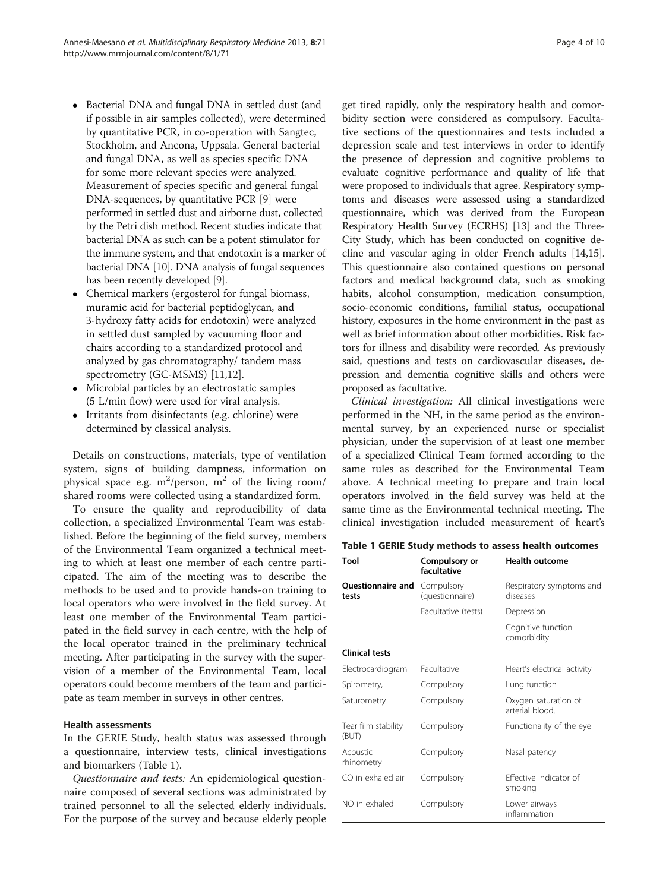- Bacterial DNA and fungal DNA in settled dust (and if possible in air samples collected), were determined by quantitative PCR, in co-operation with Sangtec, Stockholm, and Ancona, Uppsala. General bacterial and fungal DNA, as well as species specific DNA for some more relevant species were analyzed. Measurement of species specific and general fungal DNA-sequences, by quantitative PCR [\[9\]](#page-9-0) were performed in settled dust and airborne dust, collected by the Petri dish method. Recent studies indicate that bacterial DNA as such can be a potent stimulator for the immune system, and that endotoxin is a marker of bacterial DNA [\[10\]](#page-9-0). DNA analysis of fungal sequences
- has been recently developed [[9](#page-9-0)]. Chemical markers (ergosterol for fungal biomass, muramic acid for bacterial peptidoglycan, and 3-hydroxy fatty acids for endotoxin) were analyzed in settled dust sampled by vacuuming floor and chairs according to a standardized protocol and analyzed by gas chromatography/ tandem mass spectrometry (GC-MSMS) [[11](#page-9-0),[12](#page-9-0)].
- Microbial particles by an electrostatic samples (5 L/min flow) were used for viral analysis.
- Irritants from disinfectants (e.g. chlorine) were determined by classical analysis.

Details on constructions, materials, type of ventilation system, signs of building dampness, information on physical space e.g.  $m^2$ /person,  $m^2$  of the living room/ shared rooms were collected using a standardized form.

To ensure the quality and reproducibility of data collection, a specialized Environmental Team was established. Before the beginning of the field survey, members of the Environmental Team organized a technical meeting to which at least one member of each centre participated. The aim of the meeting was to describe the methods to be used and to provide hands-on training to local operators who were involved in the field survey. At least one member of the Environmental Team participated in the field survey in each centre, with the help of the local operator trained in the preliminary technical meeting. After participating in the survey with the supervision of a member of the Environmental Team, local operators could become members of the team and participate as team member in surveys in other centres.

# Health assessments

In the GERIE Study, health status was assessed through a questionnaire, interview tests, clinical investigations and biomarkers (Table 1).

Questionnaire and tests: An epidemiological questionnaire composed of several sections was administrated by trained personnel to all the selected elderly individuals. For the purpose of the survey and because elderly people

get tired rapidly, only the respiratory health and comorbidity section were considered as compulsory. Facultative sections of the questionnaires and tests included a depression scale and test interviews in order to identify the presence of depression and cognitive problems to evaluate cognitive performance and quality of life that were proposed to individuals that agree. Respiratory symptoms and diseases were assessed using a standardized questionnaire, which was derived from the European Respiratory Health Survey (ECRHS) [[13](#page-9-0)] and the Three-City Study, which has been conducted on cognitive decline and vascular aging in older French adults [\[14,15](#page-9-0)]. This questionnaire also contained questions on personal factors and medical background data, such as smoking habits, alcohol consumption, medication consumption, socio-economic conditions, familial status, occupational history, exposures in the home environment in the past as well as brief information about other morbidities. Risk factors for illness and disability were recorded. As previously said, questions and tests on cardiovascular diseases, depression and dementia cognitive skills and others were proposed as facultative.

Clinical investigation: All clinical investigations were performed in the NH, in the same period as the environmental survey, by an experienced nurse or specialist physician, under the supervision of at least one member of a specialized Clinical Team formed according to the same rules as described for the Environmental Team above. A technical meeting to prepare and train local operators involved in the field survey was held at the same time as the Environmental technical meeting. The clinical investigation included measurement of heart's

|  | Table 1 GERIE Study methods to assess health outcomes |  |
|--|-------------------------------------------------------|--|
|--|-------------------------------------------------------|--|

| Tool                              | Compulsory or<br>facultative  | <b>Health outcome</b>                   |  |  |  |  |
|-----------------------------------|-------------------------------|-----------------------------------------|--|--|--|--|
| <b>Ouestionnaire and</b><br>tests | Compulsory<br>(questionnaire) | Respiratory symptoms and<br>diseases    |  |  |  |  |
|                                   | Facultative (tests)           | Depression                              |  |  |  |  |
|                                   |                               | Cognitive function<br>comorbidity       |  |  |  |  |
| <b>Clinical tests</b>             |                               |                                         |  |  |  |  |
| Electrocardiogram                 | Facultative                   | Heart's electrical activity             |  |  |  |  |
| Spirometry,                       | Compulsory                    | Lung function                           |  |  |  |  |
| Saturometry                       | Compulsory                    | Oxygen saturation of<br>arterial blood. |  |  |  |  |
| Tear film stability<br>(BUT)      | Compulsory                    | Functionality of the eye                |  |  |  |  |
| Acoustic<br>rhinometry            | Compulsory                    | Nasal patency                           |  |  |  |  |
| CO in exhaled air                 | Compulsory                    | Effective indicator of<br>smoking       |  |  |  |  |
| NO in exhaled                     | Compulsory                    | Lower airways<br>inflammation           |  |  |  |  |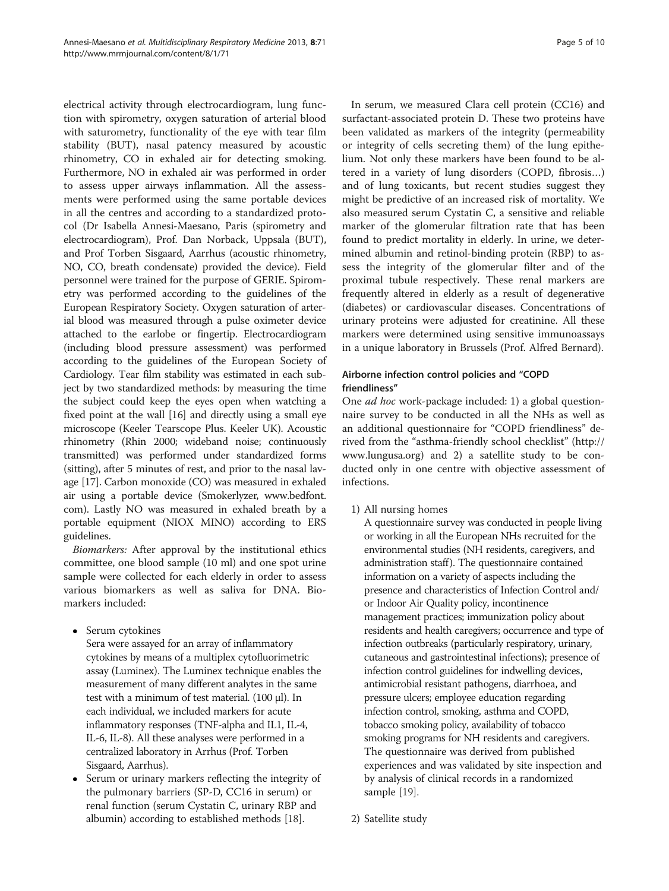electrical activity through electrocardiogram, lung function with spirometry, oxygen saturation of arterial blood with saturometry, functionality of the eye with tear film stability (BUT), nasal patency measured by acoustic rhinometry, CO in exhaled air for detecting smoking. Furthermore, NO in exhaled air was performed in order to assess upper airways inflammation. All the assessments were performed using the same portable devices in all the centres and according to a standardized protocol (Dr Isabella Annesi-Maesano, Paris (spirometry and electrocardiogram), Prof. Dan Norback, Uppsala (BUT), and Prof Torben Sisgaard, Aarrhus (acoustic rhinometry, NO, CO, breath condensate) provided the device). Field personnel were trained for the purpose of GERIE. Spirometry was performed according to the guidelines of the European Respiratory Society. Oxygen saturation of arterial blood was measured through a pulse oximeter device attached to the earlobe or fingertip. Electrocardiogram (including blood pressure assessment) was performed according to the guidelines of the European Society of Cardiology. Tear film stability was estimated in each subject by two standardized methods: by measuring the time the subject could keep the eyes open when watching a fixed point at the wall [\[16\]](#page-9-0) and directly using a small eye microscope (Keeler Tearscope Plus. Keeler UK). Acoustic rhinometry (Rhin 2000; wideband noise; continuously transmitted) was performed under standardized forms (sitting), after 5 minutes of rest, and prior to the nasal lavage [[17](#page-9-0)]. Carbon monoxide (CO) was measured in exhaled air using a portable device (Smokerlyzer, [www.bedfont.](http://www.bedfont.com) [com](http://www.bedfont.com)). Lastly NO was measured in exhaled breath by a portable equipment (NIOX MINO) according to ERS guidelines.

Biomarkers: After approval by the institutional ethics committee, one blood sample (10 ml) and one spot urine sample were collected for each elderly in order to assess various biomarkers as well as saliva for DNA. Biomarkers included:

• Serum cytokines

Sera were assayed for an array of inflammatory cytokines by means of a multiplex cytofluorimetric assay (Luminex). The Luminex technique enables the measurement of many different analytes in the same test with a minimum of test material. (100 μl). In each individual, we included markers for acute inflammatory responses (TNF-alpha and IL1, IL-4, IL-6, IL-8). All these analyses were performed in a centralized laboratory in Arrhus (Prof. Torben Sisgaard, Aarrhus).

 Serum or urinary markers reflecting the integrity of the pulmonary barriers (SP-D, CC16 in serum) or renal function (serum Cystatin C, urinary RBP and albumin) according to established methods [\[18\]](#page-9-0).

In serum, we measured Clara cell protein (CC16) and surfactant-associated protein D. These two proteins have been validated as markers of the integrity (permeability or integrity of cells secreting them) of the lung epithelium. Not only these markers have been found to be altered in a variety of lung disorders (COPD, fibrosis…) and of lung toxicants, but recent studies suggest they might be predictive of an increased risk of mortality. We also measured serum Cystatin C, a sensitive and reliable marker of the glomerular filtration rate that has been found to predict mortality in elderly. In urine, we determined albumin and retinol-binding protein (RBP) to assess the integrity of the glomerular filter and of the proximal tubule respectively. These renal markers are frequently altered in elderly as a result of degenerative (diabetes) or cardiovascular diseases. Concentrations of urinary proteins were adjusted for creatinine. All these markers were determined using sensitive immunoassays in a unique laboratory in Brussels (Prof. Alfred Bernard).

# Airborne infection control policies and "COPD friendliness"

One ad hoc work-package included: 1) a global questionnaire survey to be conducted in all the NHs as well as an additional questionnaire for "COPD friendliness" derived from the "asthma-friendly school checklist" [\(http://](http://www.lungusa.org) [www.lungusa.org\)](http://www.lungusa.org) and 2) a satellite study to be conducted only in one centre with objective assessment of infections.

1) All nursing homes

A questionnaire survey was conducted in people living or working in all the European NHs recruited for the environmental studies (NH residents, caregivers, and administration staff). The questionnaire contained information on a variety of aspects including the presence and characteristics of Infection Control and/ or Indoor Air Quality policy, incontinence management practices; immunization policy about residents and health caregivers; occurrence and type of infection outbreaks (particularly respiratory, urinary, cutaneous and gastrointestinal infections); presence of infection control guidelines for indwelling devices, antimicrobial resistant pathogens, diarrhoea, and pressure ulcers; employee education regarding infection control, smoking, asthma and COPD, tobacco smoking policy, availability of tobacco smoking programs for NH residents and caregivers. The questionnaire was derived from published experiences and was validated by site inspection and by analysis of clinical records in a randomized sample [\[19\]](#page-9-0).

2) Satellite study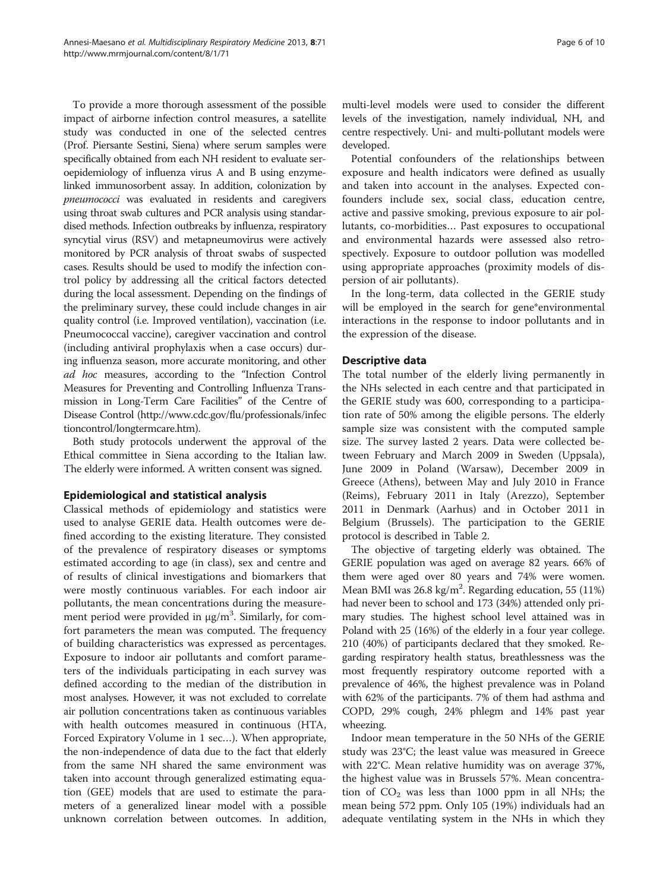To provide a more thorough assessment of the possible impact of airborne infection control measures, a satellite study was conducted in one of the selected centres (Prof. Piersante Sestini, Siena) where serum samples were specifically obtained from each NH resident to evaluate seroepidemiology of influenza virus A and B using enzymelinked immunosorbent assay. In addition, colonization by pneumococci was evaluated in residents and caregivers using throat swab cultures and PCR analysis using standardised methods. Infection outbreaks by influenza, respiratory syncytial virus (RSV) and metapneumovirus were actively monitored by PCR analysis of throat swabs of suspected cases. Results should be used to modify the infection control policy by addressing all the critical factors detected during the local assessment. Depending on the findings of the preliminary survey, these could include changes in air quality control (i.e. Improved ventilation), vaccination (i.e. Pneumococcal vaccine), caregiver vaccination and control (including antiviral prophylaxis when a case occurs) during influenza season, more accurate monitoring, and other ad hoc measures, according to the "Infection Control Measures for Preventing and Controlling Influenza Transmission in Long-Term Care Facilities" of the Centre of Disease Control [\(http://www.cdc.gov/flu/professionals/infec](http://www.cdc.gov/flu/professionals/infectioncontrol/longtermcare.htm) [tioncontrol/longtermcare.htm\)](http://www.cdc.gov/flu/professionals/infectioncontrol/longtermcare.htm).

Both study protocols underwent the approval of the Ethical committee in Siena according to the Italian law. The elderly were informed. A written consent was signed.

# Epidemiological and statistical analysis

Classical methods of epidemiology and statistics were used to analyse GERIE data. Health outcomes were defined according to the existing literature. They consisted of the prevalence of respiratory diseases or symptoms estimated according to age (in class), sex and centre and of results of clinical investigations and biomarkers that were mostly continuous variables. For each indoor air pollutants, the mean concentrations during the measurement period were provided in μg/m<sup>3</sup>. Similarly, for comfort parameters the mean was computed. The frequency of building characteristics was expressed as percentages. Exposure to indoor air pollutants and comfort parameters of the individuals participating in each survey was defined according to the median of the distribution in most analyses. However, it was not excluded to correlate air pollution concentrations taken as continuous variables with health outcomes measured in continuous (HTA, Forced Expiratory Volume in 1 sec…). When appropriate, the non-independence of data due to the fact that elderly from the same NH shared the same environment was taken into account through generalized estimating equation (GEE) models that are used to estimate the parameters of a generalized linear model with a possible unknown correlation between outcomes. In addition,

Potential confounders of the relationships between exposure and health indicators were defined as usually and taken into account in the analyses. Expected confounders include sex, social class, education centre, active and passive smoking, previous exposure to air pollutants, co-morbidities… Past exposures to occupational and environmental hazards were assessed also retrospectively. Exposure to outdoor pollution was modelled using appropriate approaches (proximity models of dispersion of air pollutants).

In the long-term, data collected in the GERIE study will be employed in the search for gene\*environmental interactions in the response to indoor pollutants and in the expression of the disease.

# Descriptive data

developed.

The total number of the elderly living permanently in the NHs selected in each centre and that participated in the GERIE study was 600, corresponding to a participation rate of 50% among the eligible persons. The elderly sample size was consistent with the computed sample size. The survey lasted 2 years. Data were collected between February and March 2009 in Sweden (Uppsala), June 2009 in Poland (Warsaw), December 2009 in Greece (Athens), between May and July 2010 in France (Reims), February 2011 in Italy (Arezzo), September 2011 in Denmark (Aarhus) and in October 2011 in Belgium (Brussels). The participation to the GERIE protocol is described in Table [2.](#page-6-0)

The objective of targeting elderly was obtained. The GERIE population was aged on average 82 years. 66% of them were aged over 80 years and 74% were women. Mean BMI was 26.8 kg/m<sup>2</sup>. Regarding education, 55 (11%) had never been to school and 173 (34%) attended only primary studies. The highest school level attained was in Poland with 25 (16%) of the elderly in a four year college. 210 (40%) of participants declared that they smoked. Regarding respiratory health status, breathlessness was the most frequently respiratory outcome reported with a prevalence of 46%, the highest prevalence was in Poland with 62% of the participants. 7% of them had asthma and COPD, 29% cough, 24% phlegm and 14% past year wheezing.

Indoor mean temperature in the 50 NHs of the GERIE study was 23°C; the least value was measured in Greece with 22°C. Mean relative humidity was on average 37%, the highest value was in Brussels 57%. Mean concentration of  $CO<sub>2</sub>$  was less than 1000 ppm in all NHs; the mean being 572 ppm. Only 105 (19%) individuals had an adequate ventilating system in the NHs in which they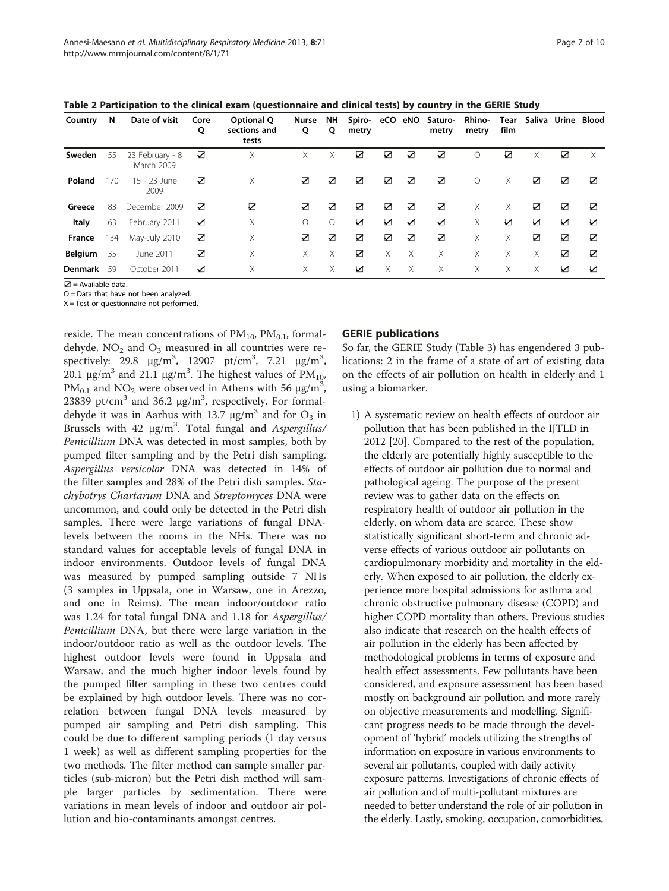<span id="page-6-0"></span>

| Table 2 Participation to the clinical exam (questionnaire and clinical tests) by country in the GERIE Study |  |  |
|-------------------------------------------------------------------------------------------------------------|--|--|
|-------------------------------------------------------------------------------------------------------------|--|--|

| Country        | N   | Date of visit                 | Core<br>Q | Optional Q<br>sections and<br>tests | Nurse<br>Q | NΗ<br>Q    | Spiro- eCO eNO<br>metry |   |   | Saturo-<br>metry | <b>Rhino-</b><br>metry | Tear<br>film |   | Saliva Urine Blood |   |
|----------------|-----|-------------------------------|-----------|-------------------------------------|------------|------------|-------------------------|---|---|------------------|------------------------|--------------|---|--------------------|---|
| Sweden         | 55  | 23 February - 8<br>March 2009 | ☑         | Χ                                   | Χ          | Χ          | ☑                       | ☑ | ☑ | ☑                | Ω                      | ☑            | Χ | ☑                  | X |
| Poland         | 170 | 15 - 23 June<br>2009          | ☑         | Χ                                   | ☑          | ☑          | ☑                       | ☑ | ☑ | ☑                | $\bigcirc$             | Χ            | ☑ | ☑                  | ☑ |
| Greece         | 83  | December 2009                 | ☑         | ☑                                   | ☑          | ☑          | ☑                       | ☑ | ☑ | ☑                | Χ                      | Χ            | ☑ | ☑                  | ☑ |
| Italy          | 63  | February 2011                 | ☑         | Χ                                   | ∩          | $\bigcirc$ | ☑                       | ☑ | ☑ | ☑                | X.                     | ☑            | ☑ | ☑                  | ☑ |
| France         | 134 | May-July 2010                 | ☑         | Χ                                   | ☑          | ☑          | ☑                       | ☑ | ☑ | ☑                | Χ                      | Χ            | ☑ | ☑                  | ☑ |
| <b>Belgium</b> | 35  | June 2011                     | ☑         | Χ                                   | Χ          | Χ          | ☑                       | X | X | X                | Χ                      | X            | Χ | ☑                  | ☑ |
| Denmark        | 59  | October 2011                  | ☑         | Χ                                   | Χ          | Χ          | ☑                       | X | X | Χ                | Χ                      | Χ            | Χ | ☑                  | ☑ |

 $\mathbf{Z}$  = Available data.

 $O =$  Data that have not been analyzed. X = Test or questionnaire not performed.

reside. The mean concentrations of  $PM_{10}$ ,  $PM_{0.1}$ , formaldehyde,  $NO<sub>2</sub>$  and  $O<sub>3</sub>$  measured in all countries were respectively: 29.8  $\mu$ g/m<sup>3</sup>, 12907 pt/cm<sup>3</sup>, 7.21  $\mu$ g/m<sup>3</sup>, 20.1 μg/m<sup>3</sup> and 21.1 μg/m<sup>3</sup>. The highest values of  $PM_{10}$ , PM<sub>0.1</sub> and NO<sub>2</sub> were observed in Athens with 56  $\mu$ g/m<sup>3</sup>, 23839 pt/cm<sup>3</sup> and 36.2  $\mu$ g/m<sup>3</sup>, respectively. For formaldehyde it was in Aarhus with 13.7  $\mu$ g/m<sup>3</sup> and for O<sub>3</sub> in Brussels with 42 μg/m<sup>3</sup>. Total fungal and Aspergillus/ Penicillium DNA was detected in most samples, both by pumped filter sampling and by the Petri dish sampling. Aspergillus versicolor DNA was detected in 14% of the filter samples and 28% of the Petri dish samples. Stachybotrys Chartarum DNA and Streptomyces DNA were uncommon, and could only be detected in the Petri dish samples. There were large variations of fungal DNAlevels between the rooms in the NHs. There was no standard values for acceptable levels of fungal DNA in indoor environments. Outdoor levels of fungal DNA was measured by pumped sampling outside 7 NHs (3 samples in Uppsala, one in Warsaw, one in Arezzo, and one in Reims). The mean indoor/outdoor ratio was 1.24 for total fungal DNA and 1.18 for Aspergillus/ Penicillium DNA, but there were large variation in the indoor/outdoor ratio as well as the outdoor levels. The highest outdoor levels were found in Uppsala and Warsaw, and the much higher indoor levels found by the pumped filter sampling in these two centres could be explained by high outdoor levels. There was no correlation between fungal DNA levels measured by pumped air sampling and Petri dish sampling. This could be due to different sampling periods (1 day versus 1 week) as well as different sampling properties for the two methods. The filter method can sample smaller particles (sub-micron) but the Petri dish method will sample larger particles by sedimentation. There were variations in mean levels of indoor and outdoor air pollution and bio-contaminants amongst centres.

# GERIE publications

So far, the GERIE Study (Table [3\)](#page-7-0) has engendered 3 publications: 2 in the frame of a state of art of existing data on the effects of air pollution on health in elderly and 1 using a biomarker.

1) A systematic review on health effects of outdoor air pollution that has been published in the IJTLD in 2012 [[20](#page-9-0)]. Compared to the rest of the population, the elderly are potentially highly susceptible to the effects of outdoor air pollution due to normal and pathological ageing. The purpose of the present review was to gather data on the effects on respiratory health of outdoor air pollution in the elderly, on whom data are scarce. These show statistically significant short-term and chronic adverse effects of various outdoor air pollutants on cardiopulmonary morbidity and mortality in the elderly. When exposed to air pollution, the elderly experience more hospital admissions for asthma and chronic obstructive pulmonary disease (COPD) and higher COPD mortality than others. Previous studies also indicate that research on the health effects of air pollution in the elderly has been affected by methodological problems in terms of exposure and health effect assessments. Few pollutants have been considered, and exposure assessment has been based mostly on background air pollution and more rarely on objective measurements and modelling. Significant progress needs to be made through the development of 'hybrid' models utilizing the strengths of information on exposure in various environments to several air pollutants, coupled with daily activity exposure patterns. Investigations of chronic effects of air pollution and of multi-pollutant mixtures are needed to better understand the role of air pollution in the elderly. Lastly, smoking, occupation, comorbidities,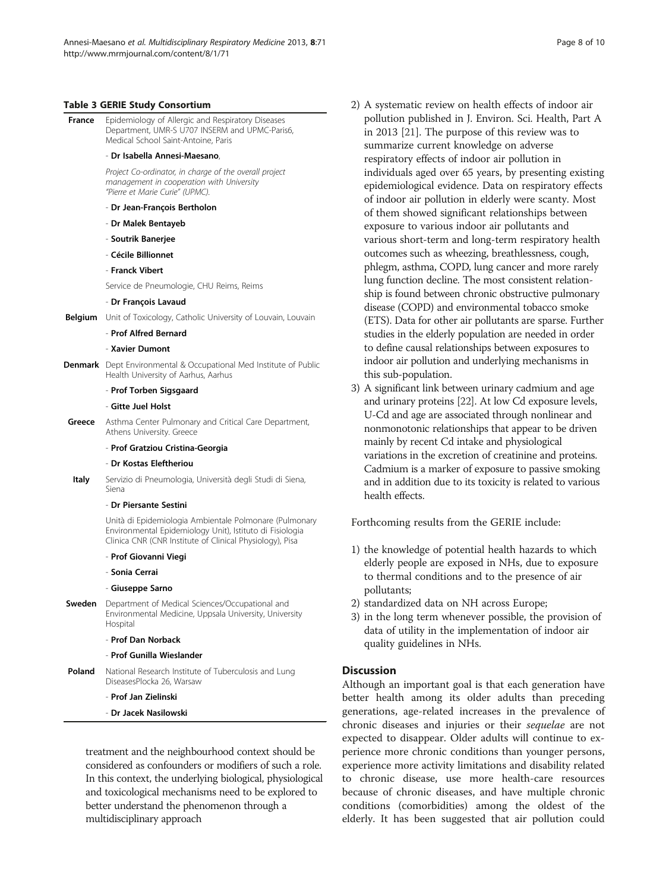#### <span id="page-7-0"></span>Table 3 GERIE Study Consortium

France Epidemiology of Allergic and Respiratory Diseases Department, UMR-S U707 INSERM and UPMC-Paris6, Medical School Saint-Antoine, Paris

#### - Dr Isabella Annesi-Maesano,

Project Co-ordinator, in charge of the overall project management in cooperation with University "Pierre et Marie Curie" (UPMC).

- Dr Jean-François Bertholon
- Dr Malek Bentayeb
- Soutrik Banerjee
- Cécile Billionnet
- Franck Vibert

Service de Pneumologie, CHU Reims, Reims

- Dr François Lavaud
- Belgium Unit of Toxicology, Catholic University of Louvain, Louvain

# - Prof Alfred Bernard

- Xavier Dumont
- Denmark Dept Environmental & Occupational Med Institute of Public Health University of Aarhus, Aarhus

#### - Prof Torben Sigsgaard

#### - Gitte Juel Holst

**Greece** Asthma Center Pulmonary and Critical Care Department, Athens University. Greece

#### - Prof Gratziou Cristina-Georgia

- Dr Kostas Eleftheriou
- Italy Servizio di Pneumologia, Università degli Studi di Siena, Siena

#### - Dr Piersante Sestini

Unità di Epidemiologia Ambientale Polmonare (Pulmonary Environmental Epidemiology Unit), Istituto di Fisiologia Clinica CNR (CNR Institute of Clinical Physiology), Pisa

- Prof Giovanni Viegi
- Sonia Cerrai

#### - Giuseppe Sarno

**Sweden** Department of Medical Sciences/Occupational and Environmental Medicine, Uppsala University, University Hospital

#### - Prof Dan Norback

#### - Prof Gunilla Wieslander

**Poland** National Research Institute of Tuberculosis and Lung DiseasesPlocka 26, Warsaw

#### - Prof Jan Zielinski

- Dr Jacek Nasilowski

treatment and the neighbourhood context should be considered as confounders or modifiers of such a role. In this context, the underlying biological, physiological and toxicological mechanisms need to be explored to better understand the phenomenon through a multidisciplinary approach

- 2) A systematic review on health effects of indoor air pollution published in J. Environ. Sci. Health, Part A in 2013 [\[21](#page-9-0)]. The purpose of this review was to summarize current knowledge on adverse respiratory effects of indoor air pollution in individuals aged over 65 years, by presenting existing epidemiological evidence. Data on respiratory effects of indoor air pollution in elderly were scanty. Most of them showed significant relationships between exposure to various indoor air pollutants and various short-term and long-term respiratory health outcomes such as wheezing, breathlessness, cough, phlegm, asthma, COPD, lung cancer and more rarely lung function decline. The most consistent relationship is found between chronic obstructive pulmonary disease (COPD) and environmental tobacco smoke (ETS). Data for other air pollutants are sparse. Further studies in the elderly population are needed in order to define causal relationships between exposures to indoor air pollution and underlying mechanisms in this sub-population.
- 3) A significant link between urinary cadmium and age and urinary proteins [\[22](#page-9-0)]. At low Cd exposure levels, U-Cd and age are associated through nonlinear and nonmonotonic relationships that appear to be driven mainly by recent Cd intake and physiological variations in the excretion of creatinine and proteins. Cadmium is a marker of exposure to passive smoking and in addition due to its toxicity is related to various health effects.

Forthcoming results from the GERIE include:

- 1) the knowledge of potential health hazards to which elderly people are exposed in NHs, due to exposure to thermal conditions and to the presence of air pollutants;
- 2) standardized data on NH across Europe;
- 3) in the long term whenever possible, the provision of data of utility in the implementation of indoor air quality guidelines in NHs.

#### **Discussion**

Although an important goal is that each generation have better health among its older adults than preceding generations, age-related increases in the prevalence of chronic diseases and injuries or their sequelae are not expected to disappear. Older adults will continue to experience more chronic conditions than younger persons, experience more activity limitations and disability related to chronic disease, use more health-care resources because of chronic diseases, and have multiple chronic conditions (comorbidities) among the oldest of the elderly. It has been suggested that air pollution could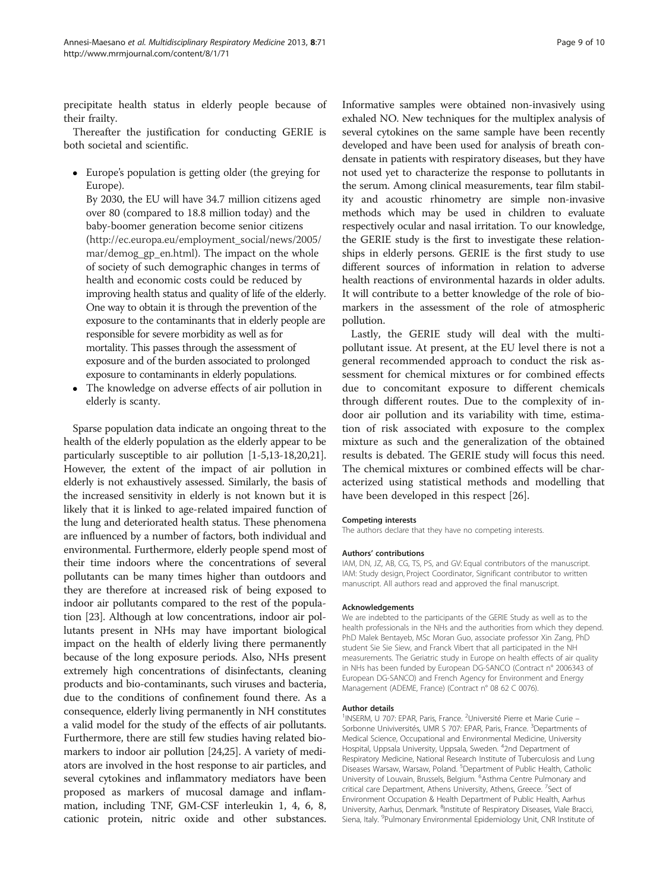precipitate health status in elderly people because of their frailty.

Thereafter the justification for conducting GERIE is both societal and scientific.

- Europe's population is getting older (the greying for Europe).
	- By 2030, the EU will have 34.7 million citizens aged over 80 (compared to 18.8 million today) and the baby-boomer generation become senior citizens ([http://ec.europa.eu/employment\\_social/news/2005/](http://ec.europa.eu/employment_social/news/2005/mar/demog_gp_en.html) [mar/demog\\_gp\\_en.html](http://ec.europa.eu/employment_social/news/2005/mar/demog_gp_en.html)). The impact on the whole of society of such demographic changes in terms of health and economic costs could be reduced by improving health status and quality of life of the elderly. One way to obtain it is through the prevention of the exposure to the contaminants that in elderly people are responsible for severe morbidity as well as for mortality. This passes through the assessment of exposure and of the burden associated to prolonged exposure to contaminants in elderly populations.
- The knowledge on adverse effects of air pollution in elderly is scanty.

Sparse population data indicate an ongoing threat to the health of the elderly population as the elderly appear to be particularly susceptible to air pollution [\[1-5,13-18,20,21](#page-9-0)]. However, the extent of the impact of air pollution in elderly is not exhaustively assessed. Similarly, the basis of the increased sensitivity in elderly is not known but it is likely that it is linked to age-related impaired function of the lung and deteriorated health status. These phenomena are influenced by a number of factors, both individual and environmental. Furthermore, elderly people spend most of their time indoors where the concentrations of several pollutants can be many times higher than outdoors and they are therefore at increased risk of being exposed to indoor air pollutants compared to the rest of the population [\[23\]](#page-9-0). Although at low concentrations, indoor air pollutants present in NHs may have important biological impact on the health of elderly living there permanently because of the long exposure periods. Also, NHs present extremely high concentrations of disinfectants, cleaning products and bio-contaminants, such viruses and bacteria, due to the conditions of confinement found there. As a consequence, elderly living permanently in NH constitutes a valid model for the study of the effects of air pollutants. Furthermore, there are still few studies having related biomarkers to indoor air pollution [\[24,25](#page-9-0)]. A variety of mediators are involved in the host response to air particles, and several cytokines and inflammatory mediators have been proposed as markers of mucosal damage and inflammation, including TNF, GM-CSF interleukin 1, 4, 6, 8, cationic protein, nitric oxide and other substances.

Informative samples were obtained non-invasively using exhaled NO. New techniques for the multiplex analysis of several cytokines on the same sample have been recently developed and have been used for analysis of breath condensate in patients with respiratory diseases, but they have not used yet to characterize the response to pollutants in the serum. Among clinical measurements, tear film stability and acoustic rhinometry are simple non-invasive methods which may be used in children to evaluate respectively ocular and nasal irritation. To our knowledge, the GERIE study is the first to investigate these relationships in elderly persons. GERIE is the first study to use different sources of information in relation to adverse health reactions of environmental hazards in older adults. It will contribute to a better knowledge of the role of biomarkers in the assessment of the role of atmospheric pollution.

Lastly, the GERIE study will deal with the multipollutant issue. At present, at the EU level there is not a general recommended approach to conduct the risk assessment for chemical mixtures or for combined effects due to concomitant exposure to different chemicals through different routes. Due to the complexity of indoor air pollution and its variability with time, estimation of risk associated with exposure to the complex mixture as such and the generalization of the obtained results is debated. The GERIE study will focus this need. The chemical mixtures or combined effects will be characterized using statistical methods and modelling that have been developed in this respect [\[26](#page-9-0)].

#### Competing interests

The authors declare that they have no competing interests.

#### Authors' contributions

IAM, DN, JZ, AB, CG, TS, PS, and GV: Equal contributors of the manuscript. IAM: Study design, Project Coordinator, Significant contributor to written manuscript. All authors read and approved the final manuscript.

#### Acknowledgements

We are indebted to the participants of the GERIE Study as well as to the health professionals in the NHs and the authorities from which they depend. PhD Malek Bentayeb, MSc Moran Guo, associate professor Xin Zang, PhD student Sie Sie Siew, and Franck Vibert that all participated in the NH measurements. The Geriatric study in Europe on health effects of air quality in NHs has been funded by European DG-SANCO (Contract n° 2006343 of European DG-SANCO) and French Agency for Environment and Energy Management (ADEME, France) (Contract n° 08 62 C 0076).

#### Author details

<sup>1</sup>INSERM, U 707: EPAR, Paris, France. <sup>2</sup>Université Pierre et Marie Curie -Sorbonne Univiversités, UMR S 707: EPAR, Paris, France. <sup>3</sup>Departments of Medical Science, Occupational and Environmental Medicine, University Hospital, Uppsala University, Uppsala, Sweden. <sup>4</sup>2nd Department of Respiratory Medicine, National Research Institute of Tuberculosis and Lung Diseases Warsaw, Warsaw, Poland. <sup>5</sup>Department of Public Health, Catholic University of Louvain, Brussels, Belgium. <sup>6</sup>Asthma Centre Pulmonary and critical care Department, Athens University, Athens, Greece. <sup>7</sup>Sect of Environment Occupation & Health Department of Public Health, Aarhus University, Aarhus, Denmark. <sup>8</sup>Institute of Respiratory Diseases, Viale Bracci, Siena, Italy. <sup>9</sup>Pulmonary Environmental Epidemiology Unit, CNR Institute of